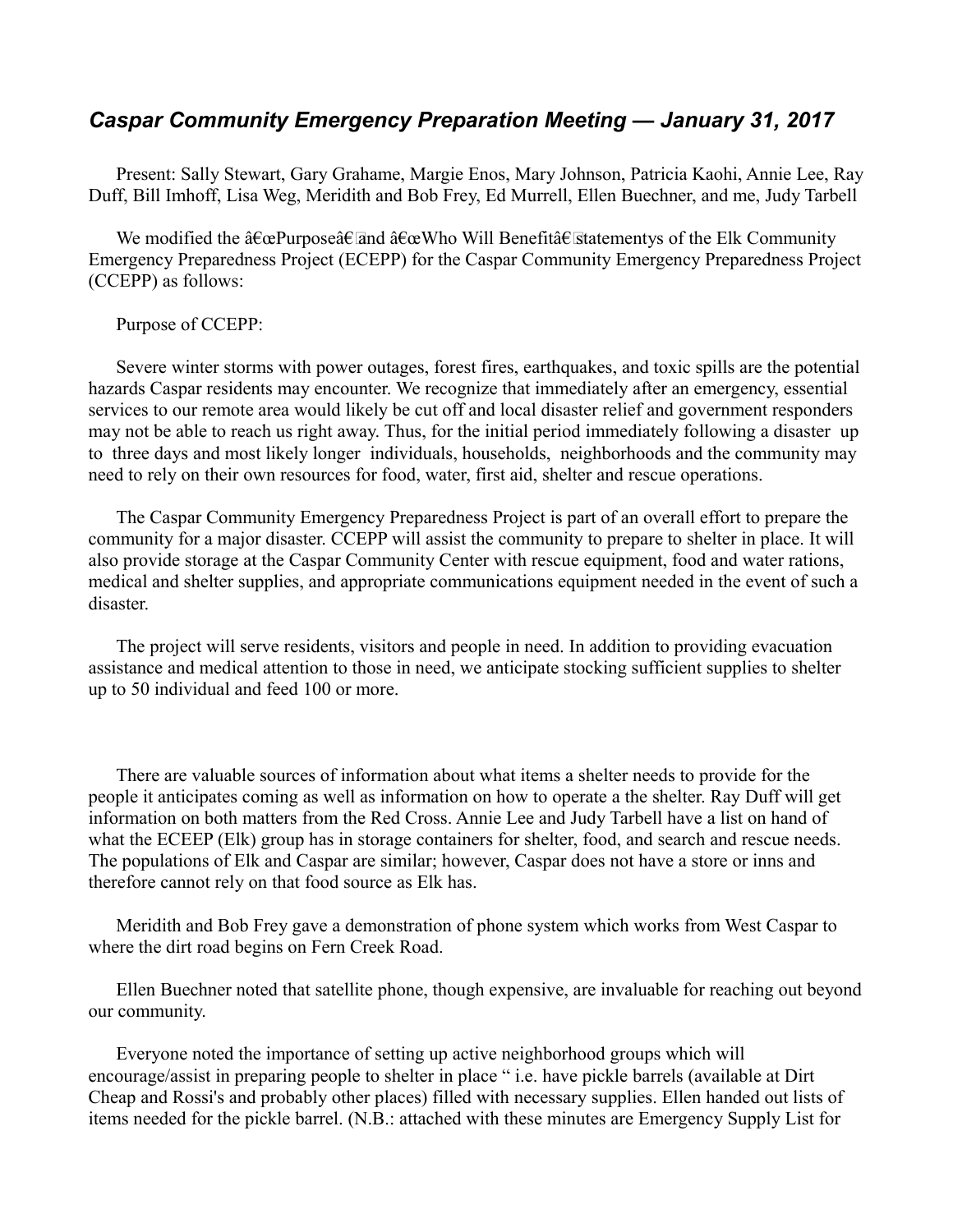## *Caspar Community Emergency Preparation Meeting — January 31, 2017*

Present: Sally Stewart, Gary Grahame, Margie Enos, Mary Johnson, Patricia Kaohi, Annie Lee, Ray Duff, Bill Imhoff, Lisa Weg, Meridith and Bob Frey, Ed Murrell, Ellen Buechner, and me, Judy Tarbell

We modified the  $\hat{a} \in \alpha$ Purpose $\hat{a} \in \overline{\alpha}$  and  $\hat{a} \in \alpha$  Who Will Benefit $\hat{a} \in \overline{\alpha}$  at the Elk Community Emergency Preparedness Project (ECEPP) for the Caspar Community Emergency Preparedness Project (CCEPP) as follows:

## Purpose of CCEPP:

Severe winter storms with power outages, forest fires, earthquakes, and toxic spills are the potential hazards Caspar residents may encounter. We recognize that immediately after an emergency, essential services to our remote area would likely be cut off and local disaster relief and government responders may not be able to reach us right away. Thus, for the initial period immediately following a disaster up to three days and most likely longer individuals, households, neighborhoods and the community may need to rely on their own resources for food, water, first aid, shelter and rescue operations.

The Caspar Community Emergency Preparedness Project is part of an overall effort to prepare the community for a major disaster. CCEPP will assist the community to prepare to shelter in place. It will also provide storage at the Caspar Community Center with rescue equipment, food and water rations, medical and shelter supplies, and appropriate communications equipment needed in the event of such a disaster.

The project will serve residents, visitors and people in need. In addition to providing evacuation assistance and medical attention to those in need, we anticipate stocking sufficient supplies to shelter up to 50 individual and feed 100 or more.

There are valuable sources of information about what items a shelter needs to provide for the people it anticipates coming as well as information on how to operate a the shelter. Ray Duff will get information on both matters from the Red Cross. Annie Lee and Judy Tarbell have a list on hand of what the ECEEP (Elk) group has in storage containers for shelter, food, and search and rescue needs. The populations of Elk and Caspar are similar; however, Caspar does not have a store or inns and therefore cannot rely on that food source as Elk has.

Meridith and Bob Frey gave a demonstration of phone system which works from West Caspar to where the dirt road begins on Fern Creek Road.

Ellen Buechner noted that satellite phone, though expensive, are invaluable for reaching out beyond our community.

Everyone noted the importance of setting up active neighborhood groups which will encourage/assist in preparing people to shelter in place " i.e. have pickle barrels (available at Dirt Cheap and Rossi's and probably other places) filled with necessary supplies. Ellen handed out lists of items needed for the pickle barrel. (N.B.: attached with these minutes are Emergency Supply List for